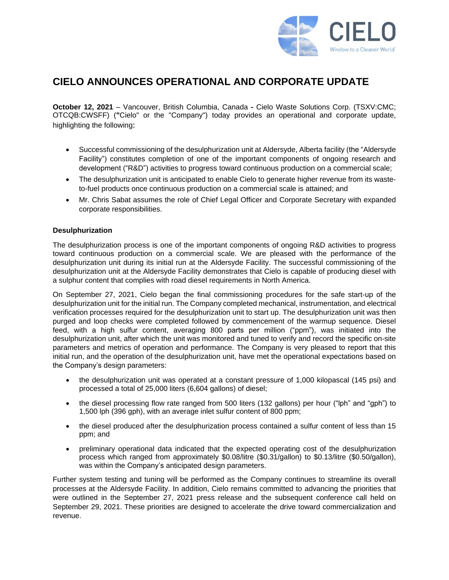

# **CIELO ANNOUNCES OPERATIONAL AND CORPORATE UPDATE**

**October 12, 2021** – Vancouver, British Columbia, Canada **-** Cielo Waste Solutions Corp. (TSXV:CMC; OTCQB:CWSFF) (**"**Cielo" or the "Company") today provides an operational and corporate update, highlighting the following:

- Successful commissioning of the desulphurization unit at Aldersyde, Alberta facility (the "Aldersyde Facility") constitutes completion of one of the important components of ongoing research and development ("R&D") activities to progress toward continuous production on a commercial scale;
- The desulphurization unit is anticipated to enable Cielo to generate higher revenue from its wasteto-fuel products once continuous production on a commercial scale is attained; and
- Mr. Chris Sabat assumes the role of Chief Legal Officer and Corporate Secretary with expanded corporate responsibilities.

#### **Desulphurization**

The desulphurization process is one of the important components of ongoing R&D activities to progress toward continuous production on a commercial scale. We are pleased with the performance of the desulphurization unit during its initial run at the Aldersyde Facility. The successful commissioning of the desulphurization unit at the Aldersyde Facility demonstrates that Cielo is capable of producing diesel with a sulphur content that complies with road diesel requirements in North America.

On September 27, 2021, Cielo began the final commissioning procedures for the safe start-up of the desulphurization unit for the initial run. The Company completed mechanical, instrumentation, and electrical verification processes required for the desulphurization unit to start up. The desulphurization unit was then purged and loop checks were completed followed by commencement of the warmup sequence. Diesel feed, with a high sulfur content, averaging 800 parts per million ("ppm"), was initiated into the desulphurization unit, after which the unit was monitored and tuned to verify and record the specific on-site parameters and metrics of operation and performance. The Company is very pleased to report that this initial run, and the operation of the desulphurization unit, have met the operational expectations based on the Company's design parameters:

- the desulphurization unit was operated at a constant pressure of 1,000 kilopascal (145 psi) and processed a total of 25,000 liters (6,604 gallons) of diesel;
- the diesel processing flow rate ranged from 500 liters (132 gallons) per hour ("lph" and "gph") to 1,500 lph (396 gph), with an average inlet sulfur content of 800 ppm;
- the diesel produced after the desulphurization process contained a sulfur content of less than 15 ppm; and
- preliminary operational data indicated that the expected operating cost of the desulphurization process which ranged from approximately \$0.08/litre (\$0.31/gallon) to \$0.13/litre (\$0.50/gallon), was within the Company's anticipated design parameters.

Further system testing and tuning will be performed as the Company continues to streamline its overall processes at the Aldersyde Facility. In addition, Cielo remains committed to advancing the priorities that were outlined in the [September 27, 2021](https://www.cielows.com/cielo-announces-corporate-change-and-provides-operational-update/) press release and the subsequent conference call held on September 29, 2021. These priorities are designed to accelerate the drive toward commercialization and revenue.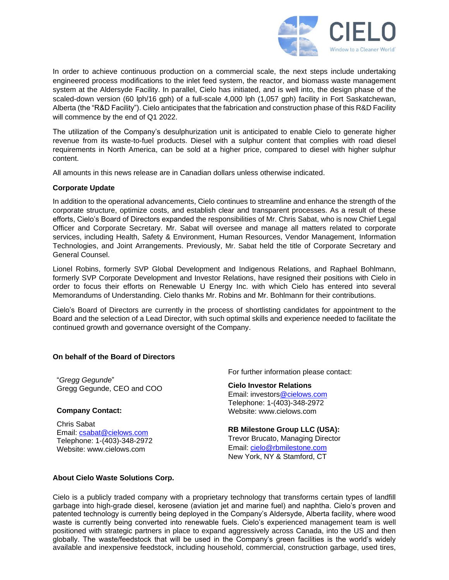

In order to achieve continuous production on a commercial scale, the next steps include undertaking engineered process modifications to the inlet feed system, the reactor, and biomass waste management system at the Aldersyde Facility. In parallel, Cielo has initiated, and is well into, the design phase of the scaled-down version (60 lph/16 gph) of a full-scale 4,000 lph (1,057 gph) facility in Fort Saskatchewan, Alberta (the "R&D Facility"). Cielo anticipates that the fabrication and construction phase of this R&D Facility will commence by the end of Q1 2022.

The utilization of the Company's desulphurization unit is anticipated to enable Cielo to generate higher revenue from its waste-to-fuel products. Diesel with a sulphur content that complies with road diesel requirements in North America, can be sold at a higher price, compared to diesel with higher sulphur content.

All amounts in this news release are in Canadian dollars unless otherwise indicated.

#### **Corporate Update**

In addition to the operational advancements, Cielo continues to streamline and enhance the strength of the corporate structure, optimize costs, and establish clear and transparent processes. As a result of these efforts, Cielo's Board of Directors expanded the responsibilities of Mr. Chris Sabat, who is now Chief Legal Officer and Corporate Secretary. Mr. Sabat will oversee and manage all matters related to corporate services, including Health, Safety & Environment, Human Resources, Vendor Management, Information Technologies, and Joint Arrangements. Previously, Mr. Sabat held the title of Corporate Secretary and General Counsel.

Lionel Robins, formerly SVP Global Development and Indigenous Relations, and Raphael Bohlmann, formerly SVP Corporate Development and Investor Relations, have resigned their positions with Cielo in order to focus their efforts on Renewable U Energy Inc. with which Cielo has entered into several Memorandums of Understanding. Cielo thanks Mr. Robins and Mr. Bohlmann for their contributions.

Cielo's Board of Directors are currently in the process of shortlisting candidates for appointment to the Board and the selection of a Lead Director, with such optimal skills and experience needed to facilitate the continued growth and governance oversight of the Company.

#### **On behalf of the Board of Directors**

"*Gregg Gegunde*" Gregg Gegunde, CEO and COO

#### **Company Contact:**

Chris Sabat Email: csabat@cielows.com Telephone: 1-(403)-348-2972 Website: www.cielows.com

For further information please contact:

## **Cielo Investor Relations**

Email: investors@cielows.com Telephone: 1-(403)-348-2972 Website: www.cielows.com

### **RB Milestone Group LLC (USA):**

Trevor Brucato, Managing Director Email[: cielo@rbmilestone.com](mailto:cielo@rbmilestone.com) New York, NY & Stamford, CT

#### **About Cielo Waste Solutions Corp.**

Cielo is a publicly traded company with a proprietary technology that transforms certain types of landfill garbage into high-grade diesel, kerosene (aviation jet and marine fuel) and naphtha. Cielo's proven and patented technology is currently being deployed in the Company's Aldersyde, Alberta facility, where wood waste is currently being converted into renewable fuels. Cielo's experienced management team is well positioned with strategic partners in place to expand aggressively across Canada, into the US and then globally. The waste/feedstock that will be used in the Company's green facilities is the world's widely available and inexpensive feedstock, including household, commercial, construction garbage, used tires,